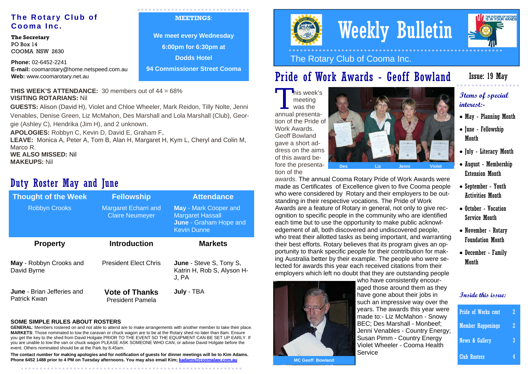## **The Rotary Club of Cooma Inc.**

**The Secretary**  PO Box 14 COOMA NSW 2630

**Phone:** 02-6452-2241 **E-mail:** coomarotary@home.netspeed.com.au **Web:** www.coomarotary.net.au

#### **MEETINGS**:

**We meet every Wednesday 6:00pm for 6:30pm at Dodds Hotel 94 Commissioner Street Cooma**

### **THIS WEEK'S ATTENDANCE:** 30 members out of  $44 = 68\%$ **VISITING ROTARIANS:** Nil

**GUESTS:** Alison (David H), Violet and Chloe Wheeler, Mark Reidon, Tilly Nolte, Jenni Venables, Denise Green, Liz McMahon, Des Marshall and Lola Marshall (Club), Geor-

gie (Ashley C), Hendrika (Jim H), and 2 unknown.

**APOLOGIES:** Robbyn C, Kevin D, David E, Graham F.

**LEAVE:** Monica A, Peter A, Tom B, Alan H, Margaret H, Kym L, Cheryl and Colin M, Marco R. **WE ALSO MISSED:** Nil

**MAKEUPS:** Nil

## Duty Roster May and June

| <b>Thought of the Week</b>                        | <b>Fellowship</b>                                     | <b>Attendance</b>                                                                                       |
|---------------------------------------------------|-------------------------------------------------------|---------------------------------------------------------------------------------------------------------|
| <b>Robbyn Crooks</b>                              | <b>Margaret Echarri and</b><br><b>Claire Neumeyer</b> | <b>May</b> - Mark Cooper and<br><b>Margaret Hassall</b><br>June - Graham Hope and<br><b>Kevin Dunne</b> |
| <b>Property</b>                                   | <b>Introduction</b>                                   | <b>Markets</b>                                                                                          |
| May - Robbyn Crooks and<br>David Byrne            | <b>President Elect Chris</b>                          | June - Steve S, Tony S,<br>Katrin H, Rob S, Alyson H-<br>J, PA                                          |
| <b>June</b> - Brian Jefferies and<br>Patrick Kwan | <b>Vote of Thanks</b><br><b>President Pamela</b>      | July - TBA                                                                                              |

### **SOME SIMPLE RULES ABOUT ROSTERS**

**GENERAL**: Members rostered on and not able to attend are to make arrangements with another member to take their place. **MARKETS**: Those nominated to tow the caravan or chuck wagon are to be at the Rotary shed no later than 8am. Ensure you get the key to the shed from David Holgate PRIOR TO THE EVENT SO THE EQUIPMENT CAN BE SET UP EARLY. If you are unable to tow the van or chuck wagon PLEASE ASK SOMEONE WHO CAN, or advise David Holgate before the event. Others nominated should be at the Park by 8.45am.

**The contact number for making apologies and for notification of guests for dinner meetings will be to Kim Adams. Phone 6452 1488 prior to 4 PM on Tuesday afternoons. You may also email Kim; kadams@coomalaw.com.au**



# Weekly Bulletin



The Rotary Club of Cooma Inc.

## Pride of Work Awards - Geoff Bowland

## Issue: 19 May

# This week's<br>meeting<br>was the

annual presentation of the Pride of Work Awards. Geoff Bowland gave a short address on the aims of this award before the presenta-



**Items of special interest:-** 

- May Planning Month
- June Fellowship Month
- July Literacy Month
- August Membership Extension Month
- September Youth Activities Month
- October Vocation Service Month
- November Rotary Foundation Month
- December Family Month



| <b>Pride of Works cont</b> | 2 |
|----------------------------|---|
| <b>Member Happenings</b>   | 2 |
| <b>News &amp; Gallery</b>  |   |
| <b>Club Rosters</b>        |   |



tion of the

#### made as Certificates of Excellence given to five Cooma people who were considered by Rotary and their employers to be outstanding in their respective vocations. The Pride of Work Awards are a feature of Rotary in general, not only to give recognition to specific people in the community who are identified each time but to use the opportunity to make public acknowledgement of all, both discovered and undiscovered people, who treat their allotted tasks as being important, and warranting their best efforts. Rotary believes that its program gives an opportunity to thank specific people for their contribution for making Australia better by their example. The people who were selected for awards this year each received citations from their employers which left no doubt that they are outstanding people

awards. The annual Cooma Rotary Pride of Work Awards were

**July** - TBA **Institute the state of the state of the state of the state of the state of the state of the state of the state of the state of the state of the state of the state of the state of the state of the state of the** who have consistently encouraged those around them as they such an impressive way over the years. The awards this year were made to:- Liz McMahon - Snowy BEC; Des Marshall - Monbeef; Jenni Venables - Country Energy; Susan Pimm - Country Energy Violet Wheeler - Cooma Health **Service**